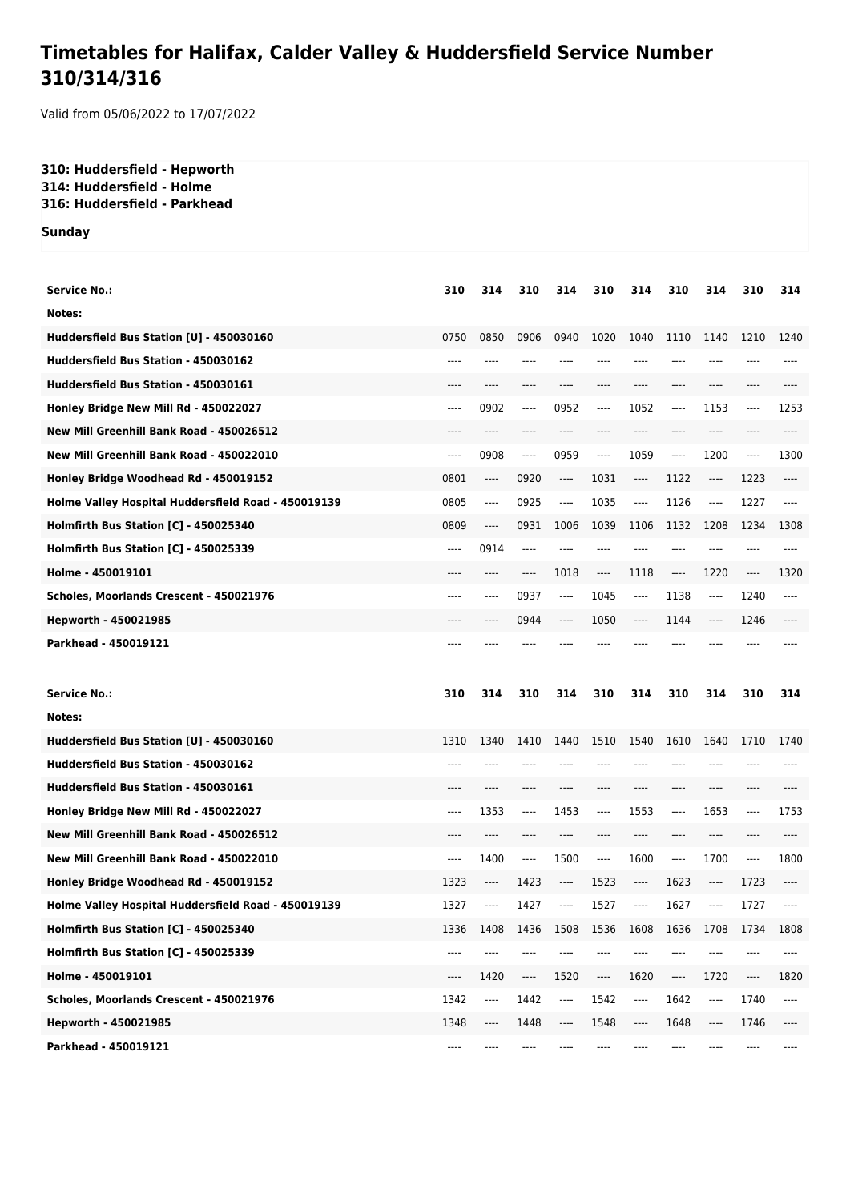## **Timetables for Halifax, Calder Valley & Huddersfield Service Number 310/314/316**

Valid from 05/06/2022 to 17/07/2022

## **310: Huddersfield - Hepworth 314: Huddersfield - Holme 316: Huddersfield - Parkhead**

**Sunday**

| <b>Service No.:</b>                                 | 310   | 314  | 310     | 314                           | 310                                                         | 314                                                         | 310                           | 314                           | 310      | 314   |
|-----------------------------------------------------|-------|------|---------|-------------------------------|-------------------------------------------------------------|-------------------------------------------------------------|-------------------------------|-------------------------------|----------|-------|
| Notes:                                              |       |      |         |                               |                                                             |                                                             |                               |                               |          |       |
| Huddersfield Bus Station [U] - 450030160            | 0750  | 0850 | 0906    | 0940                          | 1020                                                        | 1040                                                        | 1110                          | 1140                          | 1210     | 1240  |
| Huddersfield Bus Station - 450030162                | ----  |      |         |                               |                                                             |                                                             | ----                          |                               |          |       |
| Huddersfield Bus Station - 450030161                | ----  | ---- | ----    |                               |                                                             |                                                             | ----                          | ----                          | ----     |       |
| Honley Bridge New Mill Rd - 450022027               | ----  | 0902 | $-----$ | 0952                          | ----                                                        | 1052                                                        | ----                          | 1153                          | ----     | 1253  |
| New Mill Greenhill Bank Road - 450026512            |       | ---- |         | ----                          |                                                             | ----                                                        | ----                          | ----                          |          |       |
| New Mill Greenhill Bank Road - 450022010            | ----  | 0908 | $---$   | 0959                          | ----                                                        | 1059                                                        | ----                          | 1200                          | $\cdots$ | 1300  |
| Honley Bridge Woodhead Rd - 450019152               | 0801  | ---- | 0920    | ----                          | 1031                                                        | $\hspace{0.05cm}\ldots\hspace{0.05cm}\ldots\hspace{0.05cm}$ | 1122                          | $\hspace{1.5cm} \textbf{---}$ | 1223     | $---$ |
| Holme Valley Hospital Huddersfield Road - 450019139 | 0805  | ---- | 0925    | ----                          | 1035                                                        | $---$                                                       | 1126                          | ----                          | 1227     | $---$ |
| Holmfirth Bus Station [C] - 450025340               | 0809  | ---- | 0931    | 1006                          | 1039                                                        | 1106                                                        | 1132                          | 1208                          | 1234     | 1308  |
| Holmfirth Bus Station [C] - 450025339               | ----  | 0914 | $-----$ | ----                          | ----                                                        | ----                                                        | ----                          | ----                          | ----     |       |
| Holme - 450019101                                   |       | ---- | ----    | 1018                          | ----                                                        | 1118                                                        | $\hspace{1.5cm} \textbf{---}$ | 1220                          | $\cdots$ | 1320  |
| Scholes, Moorlands Crescent - 450021976             | ----  | ---- | 0937    | $-----$                       | 1045                                                        | ----                                                        | 1138                          | ----                          | 1240     | ----  |
| Hepworth - 450021985                                |       |      | 0944    | ----                          | 1050                                                        | ----                                                        | 1144                          | ----                          | 1246     |       |
| Parkhead - 450019121                                |       |      |         |                               |                                                             |                                                             |                               |                               |          |       |
|                                                     |       |      |         |                               |                                                             |                                                             |                               |                               |          |       |
|                                                     |       |      |         |                               |                                                             |                                                             |                               |                               |          |       |
| <b>Service No.:</b>                                 | 310   | 314  | 310     | 314                           | 310                                                         | 314                                                         | 310                           | 314                           | 310      | 314   |
| Notes:                                              |       |      |         |                               |                                                             |                                                             |                               |                               |          |       |
| Huddersfield Bus Station [U] - 450030160            | 1310  | 1340 | 1410    | 1440                          | 1510                                                        | 1540                                                        | 1610                          | 1640                          | 1710     | 1740  |
| Huddersfield Bus Station - 450030162                | ----  | ---- |         | ----                          |                                                             |                                                             | ----                          | ----                          |          |       |
| Huddersfield Bus Station - 450030161                | ----  | ---- | $---$   | $---$                         | ----                                                        | $---$                                                       | $---$                         | ----                          | $---$    |       |
| Honley Bridge New Mill Rd - 450022027               | $---$ | 1353 | $-----$ | 1453                          | ----                                                        | 1553                                                        | ----                          | 1653                          | $\cdots$ | 1753  |
| New Mill Greenhill Bank Road - 450026512            | ----  | ---- | $---$   | ----                          | ----                                                        | $---$                                                       | $---$                         | ----                          | $---$    | ----  |
| New Mill Greenhill Bank Road - 450022010            | $---$ | 1400 | $---$   | 1500                          | $---$                                                       | 1600                                                        | ----                          | 1700                          | $\cdots$ | 1800  |
| Honley Bridge Woodhead Rd - 450019152               | 1323  | ---- | 1423    | $---$                         | 1523                                                        | ----                                                        | 1623                          | ----                          | 1723     | $---$ |
| Holme Valley Hospital Huddersfield Road - 450019139 | 1327  | ---- | 1427    | ----                          | 1527                                                        | $\hspace{0.05cm} \ldots \hspace{0.05cm}$                    | 1627                          | ----                          | 1727     | ----  |
| Holmfirth Bus Station [C] - 450025340               | 1336  | 1408 | 1436    | 1508                          | 1536                                                        | 1608                                                        | 1636                          | 1708                          | 1734     | 1808  |
| Holmfirth Bus Station [C] - 450025339               | ----  | ---- |         |                               |                                                             |                                                             | ----                          |                               |          |       |
| Holme - 450019101                                   | ----  | 1420 | ----    | 1520                          | $\hspace{0.05cm}\ldots\hspace{0.05cm}\ldots\hspace{0.05cm}$ | 1620                                                        | ----                          | 1720                          | ----     | 1820  |
| Scholes, Moorlands Crescent - 450021976             | 1342  | ---- | 1442    | ----                          | 1542                                                        | $\overline{\phantom{a}}$                                    | 1642                          | ----                          | 1740     | ----  |
| Hepworth - 450021985                                | 1348  | ---- | 1448    | $\hspace{1.5cm} \textbf{---}$ | 1548                                                        | ----                                                        | 1648                          | ----                          | 1746     | ----  |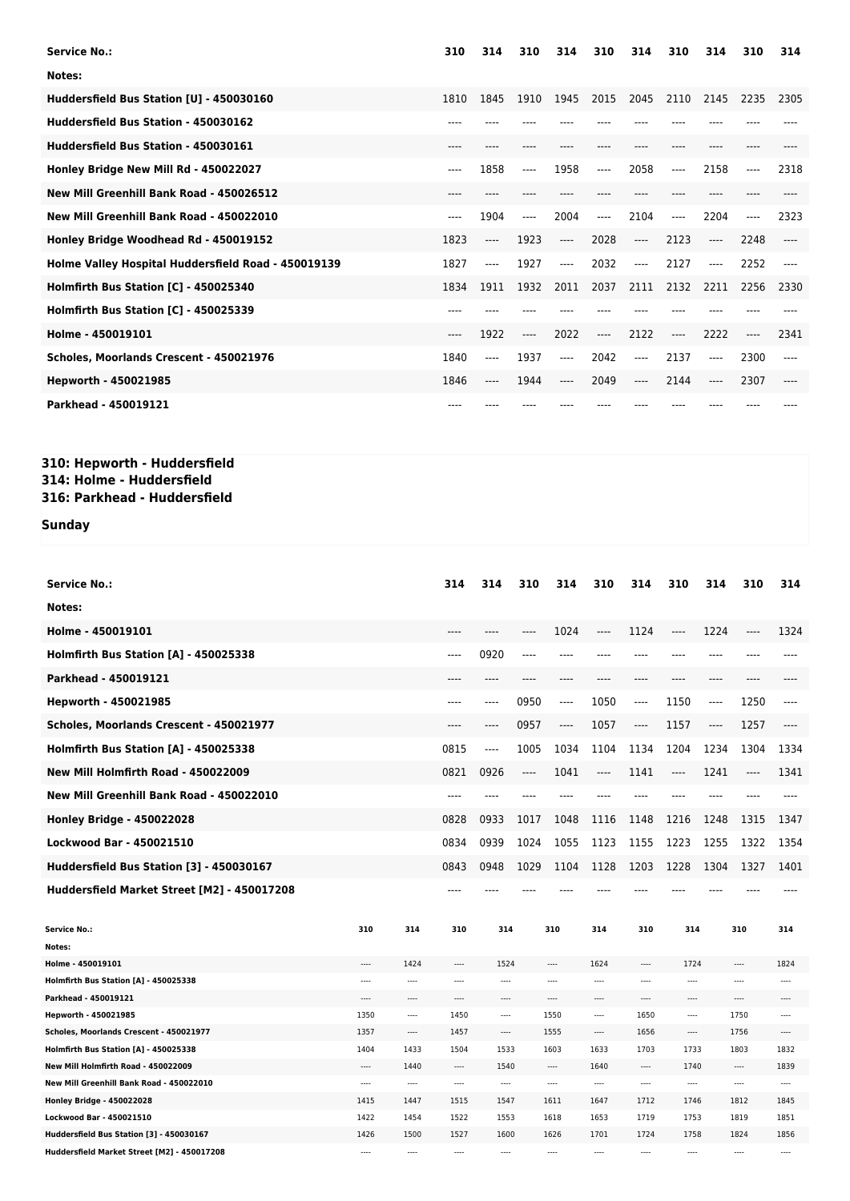| <b>Service No.:</b>                                 | 310   | 314  | 310      | 314   | 310      | 314     | 310   | 314   | 310   | 314  |
|-----------------------------------------------------|-------|------|----------|-------|----------|---------|-------|-------|-------|------|
| Notes:                                              |       |      |          |       |          |         |       |       |       |      |
| Huddersfield Bus Station [U] - 450030160            | 1810  | 1845 | 1910     | 1945  | 2015     | 2045    | 2110  | 2145  | 2235  | 2305 |
| Huddersfield Bus Station - 450030162                | $---$ |      |          |       |          |         |       |       |       |      |
| Huddersfield Bus Station - 450030161                | $---$ | ---- |          |       |          |         | ----  |       |       |      |
| Honley Bridge New Mill Rd - 450022027               | $---$ | 1858 | ----     | 1958  | ----     | 2058    | ----  | 2158  | ----  | 2318 |
| New Mill Greenhill Bank Road - 450026512            | $---$ |      |          |       |          |         |       |       |       |      |
| New Mill Greenhill Bank Road - 450022010            | $---$ | 1904 | $---$    | 2004  | $\cdots$ | 2104    | $---$ | 2204  | $---$ | 2323 |
| Honley Bridge Woodhead Rd - 450019152               | 1823  | ---- | 1923     | $---$ | 2028     | $---$   | 2123  | $---$ | 2248  |      |
| Holme Valley Hospital Huddersfield Road - 450019139 | 1827  | ---- | 1927     | ----  | 2032     | $-----$ | 2127  | ----  | 2252  |      |
| Holmfirth Bus Station [C] - 450025340               | 1834  | 1911 | 1932     | 2011  | 2037     | 2111    | 2132  | 2211  | 2256  | 2330 |
| Holmfirth Bus Station [C] - 450025339               |       |      |          |       |          |         |       |       |       |      |
| Holme - 450019101                                   | $---$ | 1922 | $\cdots$ | 2022  | ----     | 2122    | $---$ | 2222  | ----  | 2341 |
| Scholes, Moorlands Crescent - 450021976             | 1840  | ---- | 1937     | ----  | 2042     | $-----$ | 2137  | ----  | 2300  | ---- |
| Hepworth - 450021985                                | 1846  | ---- | 1944     | ----  | 2049     | $-----$ | 2144  | ----  | 2307  |      |
| Parkhead - 450019121                                | ----  |      |          |       |          |         |       |       |       |      |

## **310: Hepworth - Huddersfield 314: Holme - Huddersfield 316: Parkhead - Huddersfield**

## **Sunday**

| <b>Service No.:</b>                         |          |          | 314      | 314      | 310  | 314      | 310      | 314      | 310      | 314      | 310       | 314      |
|---------------------------------------------|----------|----------|----------|----------|------|----------|----------|----------|----------|----------|-----------|----------|
| Notes:                                      |          |          |          |          |      |          |          |          |          |          |           |          |
| Holme - 450019101                           |          |          |          |          | ---- | 1024     | ----     | 1124     | ----     | 1224     | ----      | 1324     |
| Holmfirth Bus Station [A] - 450025338       |          |          | ----     | 0920     | ---- | ----     | ----     | ----     | ----     | $---$    |           |          |
| Parkhead - 450019121                        |          |          |          |          |      |          |          |          | ----     | ----     |           |          |
| Hepworth - 450021985                        |          |          | ----     | $---$    | 0950 | $---$    | 1050     | ----     | 1150     | ----     | 1250      | $---$    |
| Scholes, Moorlands Crescent - 450021977     |          |          | ----     | ----     | 0957 | ----     | 1057     | ----     | 1157     | $\cdots$ | 1257      | ----     |
| Holmfirth Bus Station [A] - 450025338       |          |          | 0815     | $---$    | 1005 | 1034     | 1104     | 1134     | 1204     | 1234     | 1304      | 1334     |
| New Mill Holmfirth Road - 450022009         |          |          | 0821     | 0926     | ---- | 1041     | $---$    | 1141     | ----     | 1241     | ----      | 1341     |
| New Mill Greenhill Bank Road - 450022010    |          |          | ----     | $---$    | ---- | ----     |          | ----     | $---$    | $---$    | $- - - -$ | $---$    |
| <b>Honley Bridge - 450022028</b>            |          |          | 0828     | 0933     | 1017 | 1048     | 1116     | 1148     | 1216     | 1248     | 1315      | 1347     |
| <b>Lockwood Bar - 450021510</b>             |          |          | 0834     | 0939     | 1024 | 1055     | 1123     | 1155     | 1223     | 1255     | 1322      | 1354     |
| Huddersfield Bus Station [3] - 450030167    |          |          | 0843     | 0948     | 1029 | 1104     | 1128     | 1203     | 1228     | 1304     | 1327      | 1401     |
| Huddersfield Market Street [M2] - 450017208 |          |          | ----     |          |      |          |          |          |          |          |           |          |
|                                             |          |          |          |          |      |          |          |          |          |          |           |          |
| <b>Service No.:</b>                         | 310      | 314      | 310      | 314      |      | 310      | 314      | 310      | 314      |          | 310       | 314      |
| Notes:                                      |          |          |          |          |      |          |          |          |          |          |           |          |
| Holme - 450019101                           | ----     | 1424     | ----     | 1524     |      | ----     | 1624     | ----     | 1724     |          | ----      | 1824     |
| Holmfirth Bus Station [A] - 450025338       | $\cdots$ |          | $\cdots$ | $\cdots$ |      |          | $\cdots$ |          | $\cdots$ |          |           | $\sim$   |
| Parkhead - 450019121                        |          |          | $\cdots$ |          |      |          |          | ----     |          |          |           | $---$    |
| Hepworth - 450021985                        | 1350     |          | 1450     |          |      | 1550     | ----     | 1650     |          |          | 1750      | $\cdots$ |
| Scholes, Moorlands Crescent - 450021977     | 1357     | $\cdots$ | 1457     | $\cdots$ |      | 1555     |          | 1656     |          |          | 1756      | $\cdots$ |
| Holmfirth Bus Station [A] - 450025338       | 1404     | 1433     | 1504     | 1533     |      | 1603     | 1633     | 1703     | 1733     |          | 1803      | 1832     |
| New Mill Holmfirth Road - 450022009         | $\cdots$ | 1440     | $\cdots$ | 1540     |      | $\cdots$ | 1640     | $\cdots$ | 1740     |          |           | 1839     |
| New Mill Greenhill Bank Road - 450022010    |          |          | $\cdots$ | $\cdots$ |      |          | ----     | ----     |          |          |           | $\cdots$ |
| <b>Honley Bridge - 450022028</b>            | 1415     | 1447     | 1515     | 1547     |      | 1611     | 1647     | 1712     | 1746     |          | 1812      | 1845     |
| <b>Lockwood Bar - 450021510</b>             | 1422     | 1454     | 1522     | 1553     |      | 1618     | 1653     | 1719     | 1753     |          | 1819      | 1851     |
| Huddersfield Bus Station [3] - 450030167    | 1426     | 1500     | 1527     | 1600     |      | 1626     | 1701     | 1724     | 1758     |          | 1824      | 1856     |
| Huddersfield Market Street [M2] - 450017208 | $---$    |          | $\cdots$ |          |      | ----     |          |          | ----     |          | $\cdots$  |          |